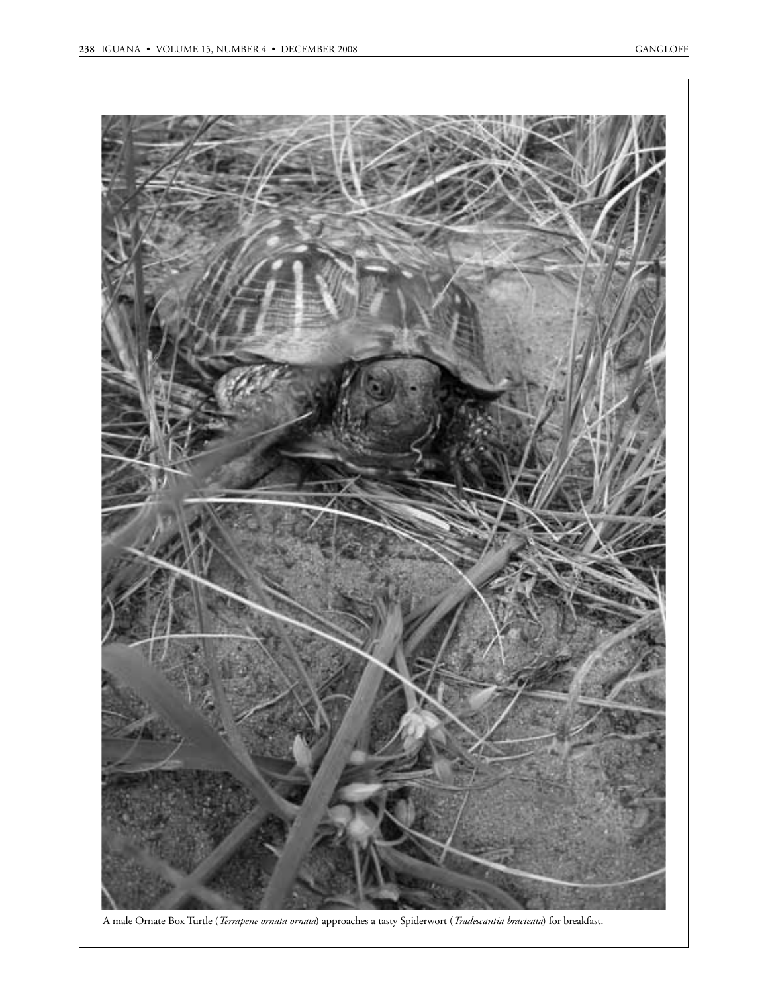

A male Ornate Box Turtle (*Terrapene ornata ornata*) approaches a tasty Spiderwort (*Tradescantia bracteata*) for breakfast.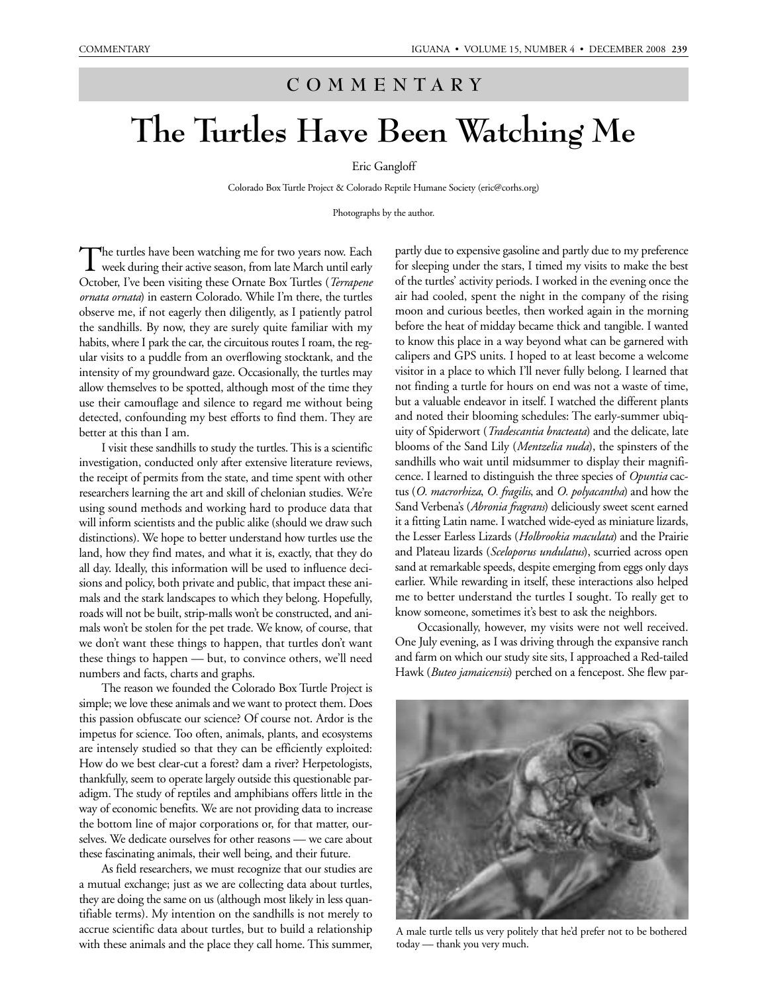## **COMMENTARY**

## **The Turtles Have Been Watching Me**

## Eric Gangloff

Colorado Box Turtle Project & Colorado Reptile Humane Society (eric@corhs.org)

Photographs by the author.

The turtles have been watching me for two years now. Each<br>week during their active season, from late March until early October, I've been visiting these Ornate Box Turtles (*Terrapene ornata ornata*) in eastern Colorado. While I'm there, the turtles observe me, if not eagerly then diligently, as I patiently patrol the sandhills. By now, they are surely quite familiar with my habits, where I park the car, the circuitous routes I roam, the regular visits to a puddle from an overflowing stocktank, and the intensity of my groundward gaze. Occasionally, the turtles may allow themselves to be spotted, although most of the time they use their camouflage and silence to regard me without being detected, confounding my best efforts to find them. They are better at this than I am.

I visit these sandhills to study the turtles. This is a scientific investigation, conducted only after extensive literature reviews, the receipt of permits from the state, and time spent with other researchers learning the art and skill of chelonian studies. We're using sound methods and working hard to produce data that will inform scientists and the public alike (should we draw such distinctions). We hope to better understand how turtles use the land, how they find mates, and what it is, exactly, that they do all day. Ideally, this information will be used to influence decisions and policy, both private and public, that impact these animals and the stark landscapes to which they belong. Hopefully, roads will not be built, strip-malls won't be constructed, and animals won't be stolen for the pet trade. We know, of course, that we don't want these things to happen, that turtles don't want these things to happen — but, to convince others, we'll need numbers and facts, charts and graphs.

The reason we founded the Colorado Box Turtle Project is simple; we love these animals and we want to protect them. Does this passion obfuscate our science? Of course not. Ardor is the impetus for science. Too often, animals, plants, and ecosystems are intensely studied so that they can be efficiently exploited: How do we best clear-cut a forest? dam a river? Herpetologists, thankfully, seem to operate largely outside this questionable paradigm. The study of reptiles and amphibians offers little in the way of economic benefits. We are not providing data to increase the bottom line of major corporations or, for that matter, ourselves. We dedicate ourselves for other reasons — we care about these fascinating animals, their well being, and their future.

As field researchers, we must recognize that our studies are a mutual exchange; just as we are collecting data about turtles, they are doing the same on us (although most likely in less quantifiable terms). My intention on the sandhills is not merely to accrue scientific data about turtles, but to build a relationship with these animals and the place they call home. This summer,

partly due to expensive gasoline and partly due to my preference for sleeping under the stars, I timed my visits to make the best of the turtles' activity periods. I worked in the evening once the air had cooled, spent the night in the company of the rising moon and curious beetles, then worked again in the morning before the heat of midday became thick and tangible. I wanted to know this place in a way beyond what can be garnered with calipers and GPS units. I hoped to at least become a welcome visitor in a place to which I'll never fully belong. I learned that not finding a turtle for hours on end was not a waste of time, but a valuable endeavor in itself. I watched the different plants and noted their blooming schedules: The early-summer ubiquity of Spiderwort (*Tradescantia bracteata*) and the delicate, late blooms of the Sand Lily (*Mentzelia nuda*), the spinsters of the sandhills who wait until midsummer to display their magnificence. I learned to distinguish the three species of *Opuntia* cactus (*O. macrorhiza*, *O. fragilis*, and *O. polyacantha*) and how the Sand Verbena's (*Abronia fragrans*) deliciously sweet scent earned it a fitting Latin name. I watched wide-eyed as miniature lizards, the Lesser Earless Lizards (*Holbrookia maculata*) and the Prairie and Plateau lizards (*Sceloporus undulatus*), scurried across open sand at remarkable speeds, despite emerging from eggs only days earlier. While rewarding in itself, these interactions also helped me to better understand the turtles I sought. To really get to know someone, sometimes it's best to ask the neighbors.

Occasionally, however, my visits were not well received. One July evening, as I was driving through the expansive ranch and farm on which our study site sits, I approached a Red-tailed Hawk (*Buteo jamaicensis*) perched on a fencepost. She flew par-



A male turtle tells us very politely that he'd prefer not to be bothered today — thank you very much.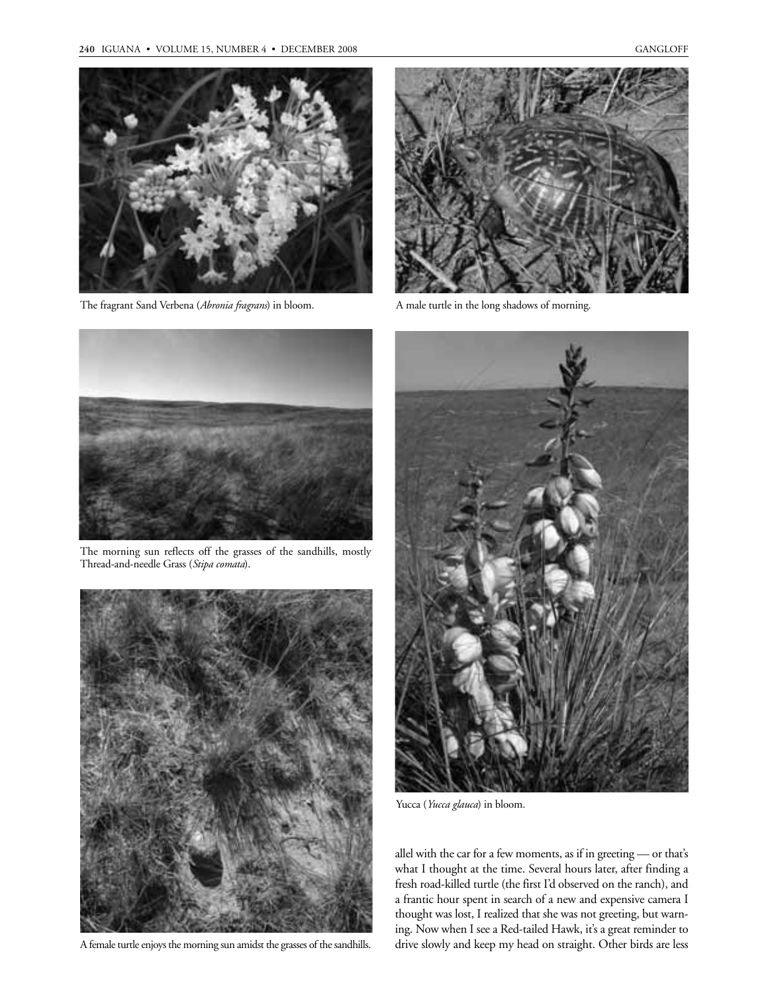

The fragrant Sand Verbena (*Abronia fragrans*) in bloom. A male turtle in the long shadows of morning.





The morning sun reflects off the grasses of the sandhills, mostly Thread-and-needle Grass (*Stipa comata*).



A female turtle enjoys the morning sun amidst the grasses of the sandhills.



Yucca (*Yucca glauca*) in bloom.

allel with the car for a few moments, as if in greeting — or that's what I thought at the time. Several hours later, after finding a fresh road-killed turtle (the first I'd observed on the ranch), and a frantic hour spent in search of a new and expensive camera I thought was lost, I realized that she was not greeting, but warning. Now when I see a Red-tailed Hawk, it's a great reminder to drive slowly and keep my head on straight. Other birds are less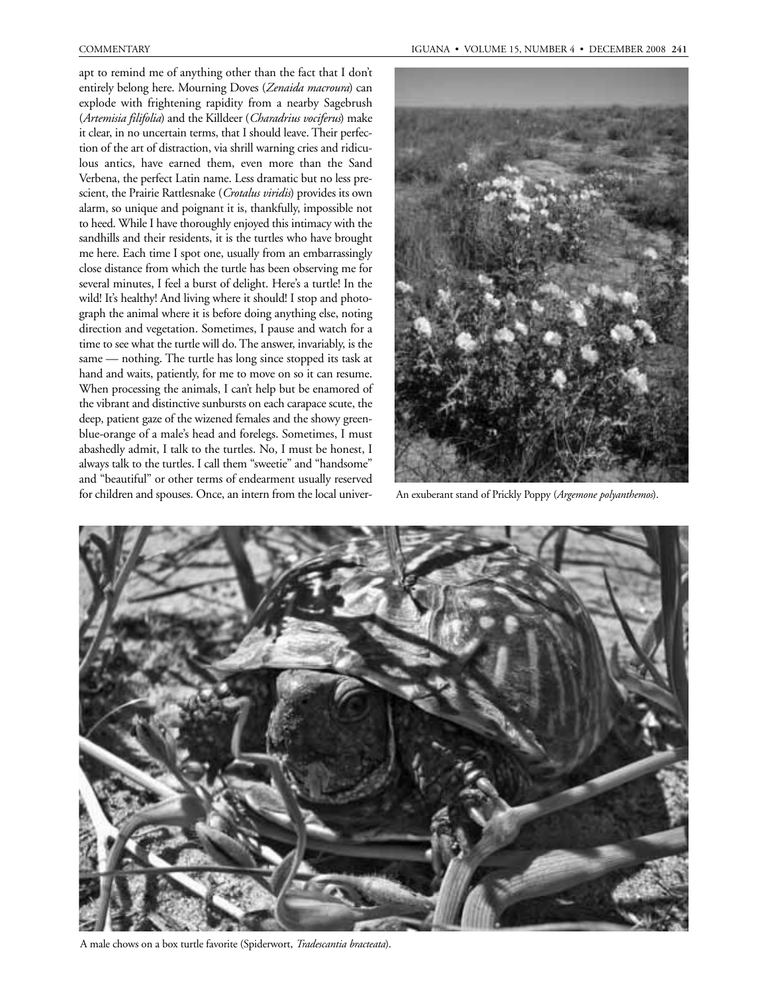apt to remind me of anything other than the fact that I don't entirely belong here. Mourning Doves (*Zenaida macroura*) can explode with frightening rapidity from a nearby Sagebrush (*Artemisia filifolia*) and the Killdeer (*Charadrius vociferus*) make it clear, in no uncertain terms, that I should leave. Their perfection of the art of distraction, via shrill warning cries and ridiculous antics, have earned them, even more than the Sand Verbena, the perfect Latin name. Less dramatic but no less prescient, the Prairie Rattlesnake (*Crotalus viridis*) provides its own alarm, so unique and poignant it is, thankfully, impossible not to heed. While I have thoroughly enjoyed this intimacy with the sandhills and their residents, it is the turtles who have brought me here. Each time I spot one, usually from an embarrassingly close distance from which the turtle has been observing me for several minutes, I feel a burst of delight. Here's a turtle! In the wild! It's healthy! And living where it should! I stop and photograph the animal where it is before doing anything else, noting direction and vegetation. Sometimes, I pause and watch for a time to see what the turtle will do. The answer, invariably, is the same — nothing. The turtle has long since stopped its task at hand and waits, patiently, for me to move on so it can resume. When processing the animals, I can't help but be enamored of the vibrant and distinctive sunbursts on each carapace scute, the deep, patient gaze of the wizened females and the showy greenblue-orange of a male's head and forelegs. Sometimes, I must abashedly admit, I talk to the turtles. No, I must be honest, I always talk to the turtles. I call them "sweetie" and "handsome" and "beautiful" or other terms of endearment usually reserved for children and spouses. Once, an intern from the local univer-



An exuberant stand of Prickly Poppy (*Argemone polyanthemos*).



A male chows on a box turtle favorite (Spiderwort, *Tradescantia bracteata*).